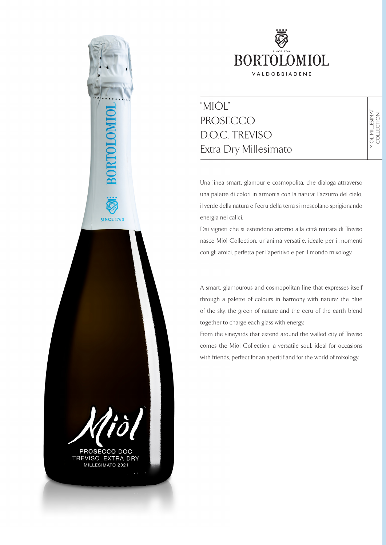

# "MIÒL" PROSECCO D.O.C. TREVISO Extra Dry Millesimato

Una linea smart, glamour e cosmopolita, che dialoga attraverso una palette di colori in armonia con la natura: l'azzurro del cielo, il verde della natura e l'ecru della terra si mescolano sprigionando energia nei calici.

Dai vigneti che si estendono attorno alla città murata di Treviso nasce Miòl Collection, un'anima versatile, ideale per i momenti con gli amici, perfetta per l'aperitivo e per il mondo mixology.

A smart, glamourous and cosmopolitan line that expresses itself through a palette of colours in harmony with nature: the blue of the sky, the green of nature and the ecru of the earth blend together to charge each glass with energy.

From the vineyards that extend around the walled city of Treviso comes the Miòl Collection, a versatile soul, ideal for occasions with friends, perfect for an aperitif and for the world of mixology.



**SINCE 1760** 

TREVISO\_EXTRA DRY<br>MILLESIMATO 2021